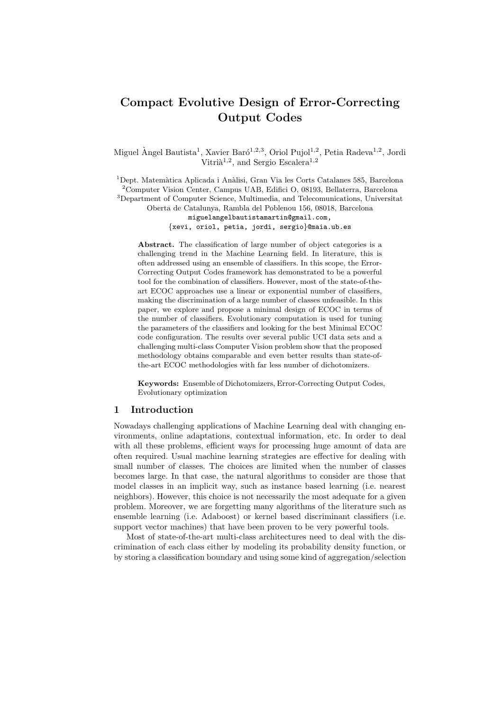# **Compact Evolutive Design of Error-Correcting Output Codes**

Miguel Àngel Bautista<sup>1</sup>, Xavier Baró<sup>1,2,3</sup>, Oriol Pujol<sup>1,2</sup>, Petia Radeva<sup>1,2</sup>, Jordi Vitrià<sup>1,2</sup>, and Sergio Escalera<sup>1,2</sup>

 $1$ Dept. Matemàtica Aplicada i Anàlisi, Gran Via les Corts Catalanes 585, Barcelona <sup>2</sup>Computer Vision Center, Campus UAB, Edifici O, 08193, Bellaterra, Barcelona <sup>3</sup>Department of Computer Science, Multimedia, and Telecomunications, Universitat Oberta de Catalunya, Rambla del Poblenou 156, 08018, Barcelona miguelangelbautistamartin@gmail.com, *{*xevi, oriol, petia, jordi, sergio*}*@maia.ub.es

**Abstract.** The classification of large number of object categories is a challenging trend in the Machine Learning field. In literature, this is often addressed using an ensemble of classifiers. In this scope, the Error-Correcting Output Codes framework has demonstrated to be a powerful tool for the combination of classifiers. However, most of the state-of-theart ECOC approaches use a linear or exponential number of classifiers, making the discrimination of a large number of classes unfeasible. In this paper, we explore and propose a minimal design of ECOC in terms of the number of classifiers. Evolutionary computation is used for tuning the parameters of the classifiers and looking for the best Minimal ECOC code configuration. The results over several public UCI data sets and a challenging multi-class Computer Vision problem show that the proposed methodology obtains comparable and even better results than state-ofthe-art ECOC methodologies with far less number of dichotomizers.

**Keywords:** Ensemble of Dichotomizers, Error-Correcting Output Codes, Evolutionary optimization

## **1 Introduction**

Nowadays challenging applications of Machine Learning deal with changing environments, online adaptations, contextual information, etc. In order to deal with all these problems, efficient ways for processing huge amount of data are often required. Usual machine learning strategies are effective for dealing with small number of classes. The choices are limited when the number of classes becomes large. In that case, the natural algorithms to consider are those that model classes in an implicit way, such as instance based learning (i.e. nearest neighbors). However, this choice is not necessarily the most adequate for a given problem. Moreover, we are forgetting many algorithms of the literature such as ensemble learning (i.e. Adaboost) or kernel based discriminant classifiers (i.e. support vector machines) that have been proven to be very powerful tools.

Most of state-of-the-art multi-class architectures need to deal with the discrimination of each class either by modeling its probability density function, or by storing a classification boundary and using some kind of aggregation/selection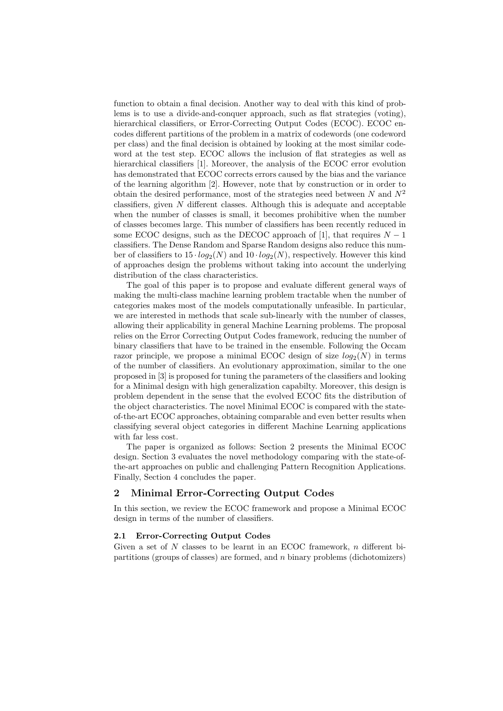function to obtain a final decision. Another way to deal with this kind of problems is to use a divide-and-conquer approach, such as flat strategies (voting), hierarchical classifiers, or Error-Correcting Output Codes (ECOC). ECOC encodes different partitions of the problem in a matrix of codewords (one codeword per class) and the final decision is obtained by looking at the most similar codeword at the test step. ECOC allows the inclusion of flat strategies as well as hierarchical classifiers [1]. Moreover, the analysis of the ECOC error evolution has demonstrated that ECOC corrects errors caused by the bias and the variance of the learning algorithm [2]. However, note that by construction or in order to obtain the desired performance, most of the strategies need between *N* and *N*<sup>2</sup> classifiers, given *N* different classes. Although this is adequate and acceptable when the number of classes is small, it becomes prohibitive when the number of classes becomes large. This number of classifiers has been recently reduced in some ECOC designs, such as the DECOC approach of [1], that requires  $N-1$ classifiers. The Dense Random and Sparse Random designs also reduce this number of classifiers to  $15 \cdot log_2(N)$  and  $10 \cdot log_2(N)$ , respectively. However this kind of approaches design the problems without taking into account the underlying distribution of the class characteristics.

The goal of this paper is to propose and evaluate different general ways of making the multi-class machine learning problem tractable when the number of categories makes most of the models computationally unfeasible. In particular, we are interested in methods that scale sub-linearly with the number of classes, allowing their applicability in general Machine Learning problems. The proposal relies on the Error Correcting Output Codes framework, reducing the number of binary classifiers that have to be trained in the ensemble. Following the Occam razor principle, we propose a minimal ECOC design of size  $log_2(N)$  in terms of the number of classifiers. An evolutionary approximation, similar to the one proposed in [3] is proposed for tuning the parameters of the classifiers and looking for a Minimal design with high generalization capabilty. Moreover, this design is problem dependent in the sense that the evolved ECOC fits the distribution of the object characteristics. The novel Minimal ECOC is compared with the stateof-the-art ECOC approaches, obtaining comparable and even better results when classifying several object categories in different Machine Learning applications with far less cost.

The paper is organized as follows: Section 2 presents the Minimal ECOC design. Section 3 evaluates the novel methodology comparing with the state-ofthe-art approaches on public and challenging Pattern Recognition Applications. Finally, Section 4 concludes the paper.

# **2 Minimal Error-Correcting Output Codes**

In this section, we review the ECOC framework and propose a Minimal ECOC design in terms of the number of classifiers.

#### **2.1 Error-Correcting Output Codes**

Given a set of *N* classes to be learnt in an ECOC framework, *n* different bipartitions (groups of classes) are formed, and *n* binary problems (dichotomizers)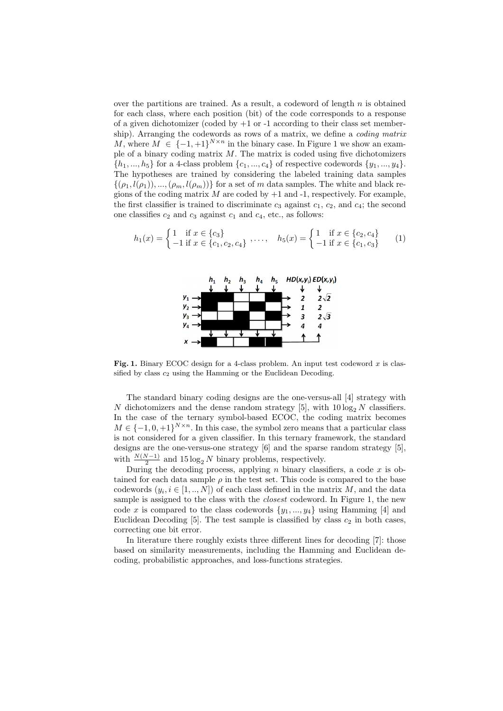over the partitions are trained. As a result, a codeword of length *n* is obtained for each class, where each position (bit) of the code corresponds to a response of a given dichotomizer (coded by +1 or -1 according to their class set membership). Arranging the codewords as rows of a matrix, we define a *coding matrix M*, where  $M \in \{-1, +1\}^{N \times n}$  in the binary case. In Figure 1 we show an example of a binary coding matrix *M*. The matrix is coded using five dichotomizers  $\{h_1, \ldots, h_5\}$  for a 4-class problem  $\{c_1, \ldots, c_4\}$  of respective codewords  $\{y_1, \ldots, y_4\}$ . The hypotheses are trained by considering the labeled training data samples  $\{(\rho_1, l(\rho_1)), ..., (\rho_m, l(\rho_m))\}$  for a set of *m* data samples. The white and black regions of the coding matrix  $M$  are coded by  $+1$  and  $-1$ , respectively. For example, the first classifier is trained to discriminate  $c_3$  against  $c_1$ ,  $c_2$ , and  $c_4$ ; the second one classifies  $c_2$  and  $c_3$  against  $c_1$  and  $c_4$ , etc., as follows:

$$
h_1(x) = \begin{cases} 1 & \text{if } x \in \{c_3\} \\ -1 & \text{if } x \in \{c_1, c_2, c_4\} \end{cases}, \dots, \quad h_5(x) = \begin{cases} 1 & \text{if } x \in \{c_2, c_4\} \\ -1 & \text{if } x \in \{c_1, c_3\} \end{cases} \tag{1}
$$



Fig. 1. Binary ECOC design for a 4-class problem. An input test codeword x is classified by class *c*<sup>2</sup> using the Hamming or the Euclidean Decoding.

The standard binary coding designs are the one-versus-all [4] strategy with *N* dichotomizers and the dense random strategy [5], with  $10 \log_2 N$  classifiers. In the case of the ternary symbol-based ECOC, the coding matrix becomes  $M \in \{-1, 0, +1\}^{N \times n}$ . In this case, the symbol zero means that a particular class is not considered for a given classifier. In this ternary framework, the standard designs are the one-versus-one strategy [6] and the sparse random strategy [5], with  $\frac{N(N-1)}{2}$  and 15 log<sub>2</sub> *N* binary problems, respectively.

During the decoding process, applying *n* binary classifiers, a code *x* is obtained for each data sample  $\rho$  in the test set. This code is compared to the base codewords  $(y_i, i \in [1, ..., N])$  of each class defined in the matrix  $M$ , and the data sample is assigned to the class with the *closest* codeword. In Figure 1, the new code *x* is compared to the class codewords  $\{y_1, \ldots, y_4\}$  using Hamming [4] and Euclidean Decoding  $[5]$ . The test sample is classified by class  $c_2$  in both cases, correcting one bit error.

In literature there roughly exists three different lines for decoding [7]: those based on similarity measurements, including the Hamming and Euclidean decoding, probabilistic approaches, and loss-functions strategies.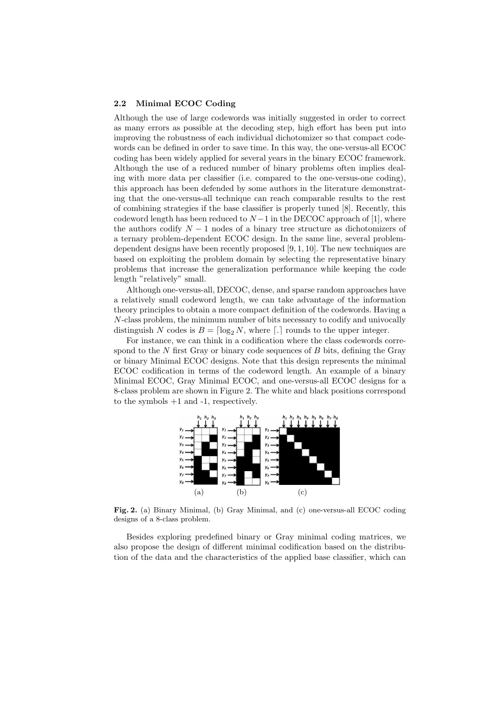#### **2.2 Minimal ECOC Coding**

Although the use of large codewords was initially suggested in order to correct as many errors as possible at the decoding step, high effort has been put into improving the robustness of each individual dichotomizer so that compact codewords can be defined in order to save time. In this way, the one-versus-all ECOC coding has been widely applied for several years in the binary ECOC framework. Although the use of a reduced number of binary problems often implies dealing with more data per classifier (i.e. compared to the one-versus-one coding), this approach has been defended by some authors in the literature demonstrating that the one-versus-all technique can reach comparable results to the rest of combining strategies if the base classifier is properly tuned [8]. Recently, this codeword length has been reduced to  $N-1$  in the DECOC approach of [1], where the authors codify *N −* 1 nodes of a binary tree structure as dichotomizers of a ternary problem-dependent ECOC design. In the same line, several problemdependent designs have been recently proposed [9, 1, 10]. The new techniques are based on exploiting the problem domain by selecting the representative binary problems that increase the generalization performance while keeping the code length "relatively" small.

Although one-versus-all, DECOC, dense, and sparse random approaches have a relatively small codeword length, we can take advantage of the information theory principles to obtain a more compact definition of the codewords. Having a *N*-class problem, the minimum number of bits necessary to codify and univocally distinguish *N* codes is  $B = \lceil \log_2 N \rceil$ , where  $\lceil \cdot \rceil$  rounds to the upper integer.

For instance, we can think in a codification where the class codewords correspond to the *N* first Gray or binary code sequences of *B* bits, defining the Gray or binary Minimal ECOC designs. Note that this design represents the minimal ECOC codification in terms of the codeword length. An example of a binary Minimal ECOC, Gray Minimal ECOC, and one-versus-all ECOC designs for a 8-class problem are shown in Figure 2. The white and black positions correspond to the symbols +1 and -1, respectively.



**Fig. 2.** (a) Binary Minimal, (b) Gray Minimal, and (c) one-versus-all ECOC coding designs of a 8-class problem.

Besides exploring predefined binary or Gray minimal coding matrices, we also propose the design of different minimal codification based on the distribution of the data and the characteristics of the applied base classifier, which can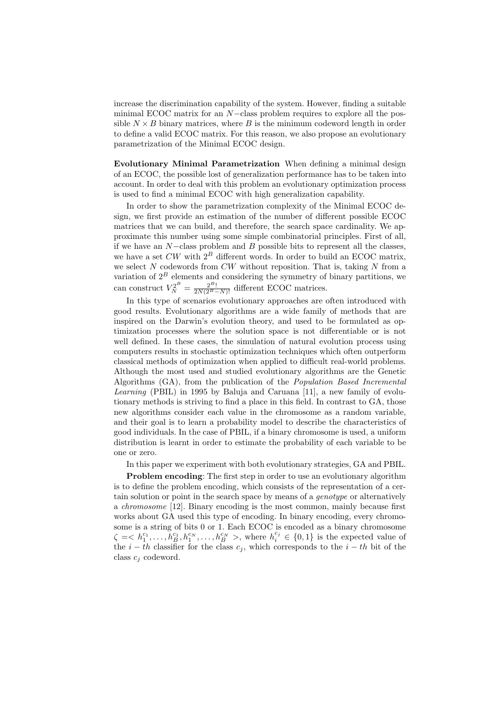increase the discrimination capability of the system. However, finding a suitable minimal ECOC matrix for an *N−*class problem requires to explore all the possible  $N \times B$  binary matrices, where  $B$  is the minimum codeword length in order to define a valid ECOC matrix. For this reason, we also propose an evolutionary parametrization of the Minimal ECOC design.

**Evolutionary Minimal Parametrization** When defining a minimal design of an ECOC, the possible lost of generalization performance has to be taken into account. In order to deal with this problem an evolutionary optimization process is used to find a minimal ECOC with high generalization capability.

In order to show the parametrization complexity of the Minimal ECOC design, we first provide an estimation of the number of different possible ECOC matrices that we can build, and therefore, the search space cardinality. We approximate this number using some simple combinatorial principles. First of all, if we have an *N−*class problem and *B* possible bits to represent all the classes, we have a set *CW* with 2*<sup>B</sup>* different words. In order to build an ECOC matrix, we select *N* codewords from *CW* without reposition. That is, taking *N* from a variation of 2*<sup>B</sup>* elements and considering the symmetry of binary partitions, we can construct  $V_N^{2^B} = \frac{2^{B_1}}{2N(2^B - N)!}$  different ECOC matrices.

In this type of scenarios evolutionary approaches are often introduced with good results. Evolutionary algorithms are a wide family of methods that are inspired on the Darwin's evolution theory, and used to be formulated as optimization processes where the solution space is not differentiable or is not well defined. In these cases, the simulation of natural evolution process using computers results in stochastic optimization techniques which often outperform classical methods of optimization when applied to difficult real-world problems. Although the most used and studied evolutionary algorithms are the Genetic Algorithms (GA), from the publication of the *Population Based Incremental Learning* (PBIL) in 1995 by Baluja and Caruana [11], a new family of evolutionary methods is striving to find a place in this field. In contrast to GA, those new algorithms consider each value in the chromosome as a random variable, and their goal is to learn a probability model to describe the characteristics of good individuals. In the case of PBIL, if a binary chromosome is used, a uniform distribution is learnt in order to estimate the probability of each variable to be one or zero.

In this paper we experiment with both evolutionary strategies, GA and PBIL.

**Problem encoding:** The first step in order to use an evolutionary algorithm is to define the problem encoding, which consists of the representation of a certain solution or point in the search space by means of a *genotype* or alternatively a *chromosome* [12]. Binary encoding is the most common, mainly because first works about GA used this type of encoding. In binary encoding, every chromosome is a string of bits 0 or 1. Each ECOC is encoded as a binary chromosome  $\zeta = \langle h_1^{c_1}, \ldots, h_B^{c_1}, h_1^{c_N}, \ldots, h_B^{c_N} \rangle$ , where  $h_i^{c_j} \in \{0,1\}$  is the expected value of the  $i - th$  classifier for the class  $c_j$ , which corresponds to the  $i - th$  bit of the class *c<sup>j</sup>* codeword.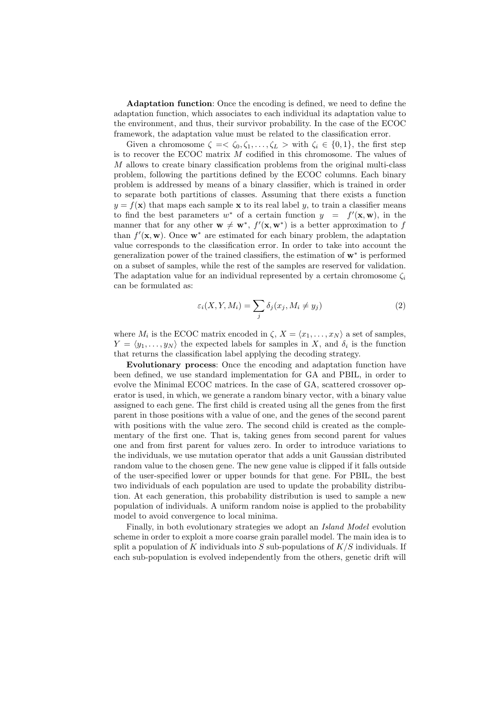**Adaptation function**: Once the encoding is defined, we need to define the adaptation function, which associates to each individual its adaptation value to the environment, and thus, their survivor probability. In the case of the ECOC framework, the adaptation value must be related to the classification error.

Given a chromosome  $\zeta = \zeta_0, \zeta_1, \ldots, \zeta_L > \text{with } \zeta_i \in \{0, 1\}$ , the first step is to recover the ECOC matrix *M* codified in this chromosome. The values of *M* allows to create binary classification problems from the original multi-class problem, following the partitions defined by the ECOC columns. Each binary problem is addressed by means of a binary classifier, which is trained in order to separate both partitions of classes. Assuming that there exists a function  $y = f(\mathbf{x})$  that maps each sample **x** to its real label *y*, to train a classifier means to find the best parameters  $w^*$  of a certain function  $y = f'(\mathbf{x}, \mathbf{w})$ , in the manner that for any other  $\mathbf{w} \neq \mathbf{w}^*$ ,  $f'(\mathbf{x}, \mathbf{w}^*)$  is a better approximation to f than  $f'(\mathbf{x}, \mathbf{w})$ . Once  $\mathbf{w}^*$  are estimated for each binary problem, the adaptation value corresponds to the classification error. In order to take into account the generalization power of the trained classifiers, the estimation of **w***<sup>∗</sup>* is performed on a subset of samples, while the rest of the samples are reserved for validation. The adaptation value for an individual represented by a certain chromosome  $\zeta_i$ can be formulated as:

$$
\varepsilon_i(X, Y, M_i) = \sum_j \delta_j(x_j, M_i \neq y_j)
$$
\n(2)

where  $M_i$  is the ECOC matrix encoded in  $\zeta$ ,  $X = \langle x_1, \ldots, x_N \rangle$  a set of samples,  $Y = \langle y_1, \ldots, y_N \rangle$  the expected labels for samples in *X*, and  $\delta_i$  is the function that returns the classification label applying the decoding strategy.

**Evolutionary process**: Once the encoding and adaptation function have been defined, we use standard implementation for GA and PBIL, in order to evolve the Minimal ECOC matrices. In the case of GA, scattered crossover operator is used, in which, we generate a random binary vector, with a binary value assigned to each gene. The first child is created using all the genes from the first parent in those positions with a value of one, and the genes of the second parent with positions with the value zero. The second child is created as the complementary of the first one. That is, taking genes from second parent for values one and from first parent for values zero. In order to introduce variations to the individuals, we use mutation operator that adds a unit Gaussian distributed random value to the chosen gene. The new gene value is clipped if it falls outside of the user-specified lower or upper bounds for that gene. For PBIL, the best two individuals of each population are used to update the probability distribution. At each generation, this probability distribution is used to sample a new population of individuals. A uniform random noise is applied to the probability model to avoid convergence to local minima.

Finally, in both evolutionary strategies we adopt an *Island Model* evolution scheme in order to exploit a more coarse grain parallel model. The main idea is to split a population of *K* individuals into *S* sub-populations of *K/S* individuals. If each sub-population is evolved independently from the others, genetic drift will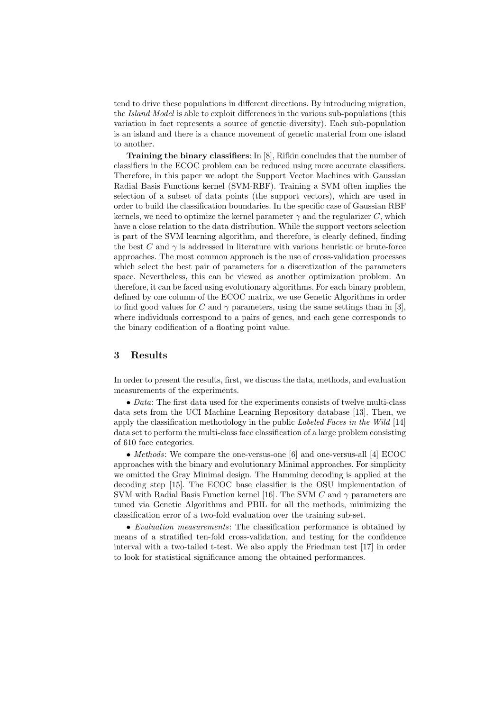tend to drive these populations in different directions. By introducing migration, the *Island Model* is able to exploit differences in the various sub-populations (this variation in fact represents a source of genetic diversity). Each sub-population is an island and there is a chance movement of genetic material from one island to another.

**Training the binary classifiers**: In [8], Rifkin concludes that the number of classifiers in the ECOC problem can be reduced using more accurate classifiers. Therefore, in this paper we adopt the Support Vector Machines with Gaussian Radial Basis Functions kernel (SVM-RBF). Training a SVM often implies the selection of a subset of data points (the support vectors), which are used in order to build the classification boundaries. In the specific case of Gaussian RBF kernels, we need to optimize the kernel parameter  $\gamma$  and the regularizer  $C$ , which have a close relation to the data distribution. While the support vectors selection is part of the SVM learning algorithm, and therefore, is clearly defined, finding the best *C* and  $\gamma$  is addressed in literature with various heuristic or brute-force approaches. The most common approach is the use of cross-validation processes which select the best pair of parameters for a discretization of the parameters space. Nevertheless, this can be viewed as another optimization problem. An therefore, it can be faced using evolutionary algorithms. For each binary problem, defined by one column of the ECOC matrix, we use Genetic Algorithms in order to find good values for *C* and  $\gamma$  parameters, using the same settings than in [3], where individuals correspond to a pairs of genes, and each gene corresponds to the binary codification of a floating point value.

# **3 Results**

In order to present the results, first, we discuss the data, methods, and evaluation measurements of the experiments.

*• Data*: The first data used for the experiments consists of twelve multi-class data sets from the UCI Machine Learning Repository database [13]. Then, we apply the classification methodology in the public *Labeled Faces in the Wild* [14] data set to perform the multi-class face classification of a large problem consisting of 610 face categories.

*• Methods*: We compare the one-versus-one [6] and one-versus-all [4] ECOC approaches with the binary and evolutionary Minimal approaches. For simplicity we omitted the Gray Minimal design. The Hamming decoding is applied at the decoding step [15]. The ECOC base classifier is the OSU implementation of SVM with Radial Basis Function kernel [16]. The SVM *C* and *γ* parameters are tuned via Genetic Algorithms and PBIL for all the methods, minimizing the classification error of a two-fold evaluation over the training sub-set.

*• Evaluation measurements*: The classification performance is obtained by means of a stratified ten-fold cross-validation, and testing for the confidence interval with a two-tailed t-test. We also apply the Friedman test [17] in order to look for statistical significance among the obtained performances.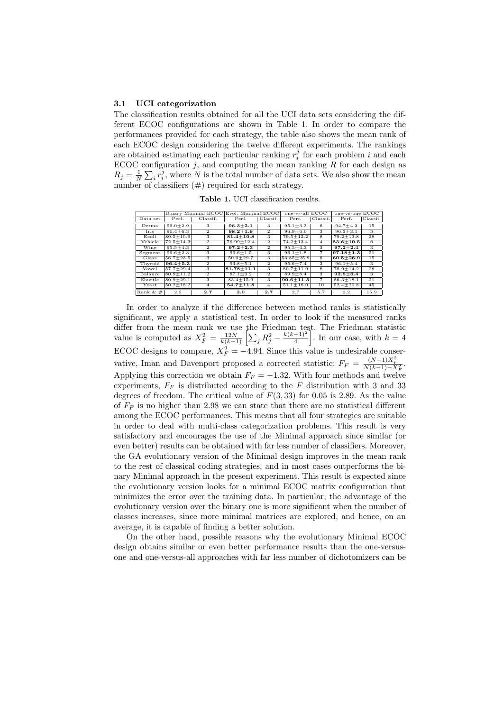#### **3.1 UCI categorization**

The classification results obtained for all the UCI data sets considering the different ECOC configurations are shown in Table 1. In order to compare the performances provided for each strategy, the table also shows the mean rank of each ECOC design considering the twelve different experiments. The rankings are obtained estimating each particular ranking  $r_i^j$  for each problem *i* and each ECOC configuration  $j$ , and computing the mean ranking  $R$  for each design as  $R_j = \frac{1}{N} \sum_i r_i^j$ , where *N* is the total number of data sets. We also show the mean number of classifiers  $(\#)$  required for each strategy.

**Table 1.** UCI classification results.

|                                                                                                                                             |               | Binary Minimal ECOC | Evol. Minimal ECOC |                | one-vs-all ECOC |                         | one-vs-one ECOC |          |  |
|---------------------------------------------------------------------------------------------------------------------------------------------|---------------|---------------------|--------------------|----------------|-----------------|-------------------------|-----------------|----------|--|
| Data set                                                                                                                                    | Perf.         | Classif.            | Perf.              | Classif.       | Perf.           | Classif.                | Perf.           | Classif. |  |
| Derma                                                                                                                                       | $96.0 + 2.9$  | 3                   | $96.3 + 2.1$       | 3              | $95.1 + 3.3$    | $6\overline{6}$         | $94.7 + 4.3$    | 15       |  |
| Iris                                                                                                                                        | $96.4 + 6.3$  | $\overline{2}$      | $98.2 + 1.9$       | $\overline{2}$ | $96.9 + 6.0$    | 3                       | $96.3 + 3.1$    | 3        |  |
| Ecoli                                                                                                                                       | $80.5 + 10.9$ | 3                   | $81.4 + 10.8$      | 3              | $79.5 + 12.2$   | 8                       | $79.2 + 13.8$   | 28       |  |
| Vehicle                                                                                                                                     | $72.5 + 14.3$ | $\overline{2}$      | $76.99 + 12.4$     | $\overline{2}$ | $74.2 + 13.4$   | 4                       | $83.6 + 10.5$   | 6        |  |
| Wine                                                                                                                                        | $95.5 + 4.3$  | $\overline{2}$      | $97.2 + 2.3$       | $\overline{2}$ | $95.5 + 4.3$    | 3                       | $97.2 + 2.4$    | 3        |  |
| Segment                                                                                                                                     | $96.6 + 2.3$  | 3                   | $96.6 + 1.5$       | 3              | $96.1 + 1.8$    | $\overline{7}$          | $97.18 + 1.3$   | 21       |  |
| Glass                                                                                                                                       | $56.7 + 23.5$ | 3                   | $50.0 + 29.7$      | 3              | $53.85 + 25.8$  | $6\overline{6}$         | $60.5 + 26.9$   | 15       |  |
| Thyroid                                                                                                                                     | $96.4 + 5.3$  | $\overline{2}$      | $93.8 + 5.1$       | $\overline{2}$ | $95.6 + 7.4$    | 3                       | $96.1 + 5.4$    | 3        |  |
| Vowel                                                                                                                                       | $57.7 + 29.4$ | 3                   | $81.78 + 11.1$     | 3              | $80.7 + 11.9$   | $\overline{\mathbf{8}}$ | $78.9 + 14.2$   | 28       |  |
| Balance                                                                                                                                     | $80.9 + 11.2$ | $\overline{2}$      | $87.1 + 9.2$       | $\overline{2}$ | $89.9 + 8.4$    | 3                       | $92.8 + 6.4$    | 3        |  |
| Shuttle                                                                                                                                     | $80.9 + 29.1$ | 3                   | $83.4 + 15.9$      | 3              | $90.6 + 11.3$   | $\overline{7}$          | $86.3 + 18.1$   | 21       |  |
| Yeast                                                                                                                                       | $50.2 + 18.2$ | 4                   | $54.7 + 11.8$      | $\overline{4}$ | $51.1 \pm 18.0$ | 10                      | $52.4 + 20.8$   | 45       |  |
| Rank $&#</math></td><td>2.9</td><td>2.7</td><td>2.0</td><td>2.7</td><td>2.7</td><td>5.7</td><td>2.2</td><td>15.9</td></tr></tbody></table>$ |               |                     |                    |                |                 |                         |                 |          |  |

In order to analyze if the difference between method ranks is statistically significant, we apply a statistical test. In order to look if the measured ranks differ from the mean rank we use the Friedman test. The Friedman statistic  $V = \frac{12N}{k(k+1)} \left[ \sum_j R_j^2 - \frac{k(k+1)^2}{4} \right]$ 4  $\left| \begin{array}{c} 1 \text{h} \\ \text{h} \end{array} \right|$ . In our case, with  $k = 4$ ECOC designs to compare,  $X_F^2 = -4.94$ . Since this value is undesirable conservative, Iman and Davenport proposed a corrected statistic:  $F_F = \frac{(N-1)X_F^2}{N(k-1)-X_F^2}$ . Applying this correction we obtain  $F_F = -1.32$ . With four methods and twelve experiments,  $F_F$  is distributed according to the  $F$  distribution with 3 and 33 degrees of freedom. The critical value of *F*(3*,* 33) for 0*.*05 is 2.89. As the value of  $F_F$  is no higher than 2.98 we can state that there are no statistical different among the ECOC performances. This means that all four strategies are suitable in order to deal with multi-class categorization problems. This result is very satisfactory and encourages the use of the Minimal approach since similar (or even better) results can be obtained with far less number of classifiers. Moreover, the GA evolutionary version of the Minimal design improves in the mean rank to the rest of classical coding strategies, and in most cases outperforms the binary Minimal approach in the present experiment. This result is expected since the evolutionary version looks for a minimal ECOC matrix configuration that minimizes the error over the training data. In particular, the advantage of the evolutionary version over the binary one is more significant when the number of classes increases, since more minimal matrices are explored, and hence, on an average, it is capable of finding a better solution.

On the other hand, possible reasons why the evolutionary Minimal ECOC design obtains similar or even better performance results than the one-versusone and one-versus-all approaches with far less number of dichotomizers can be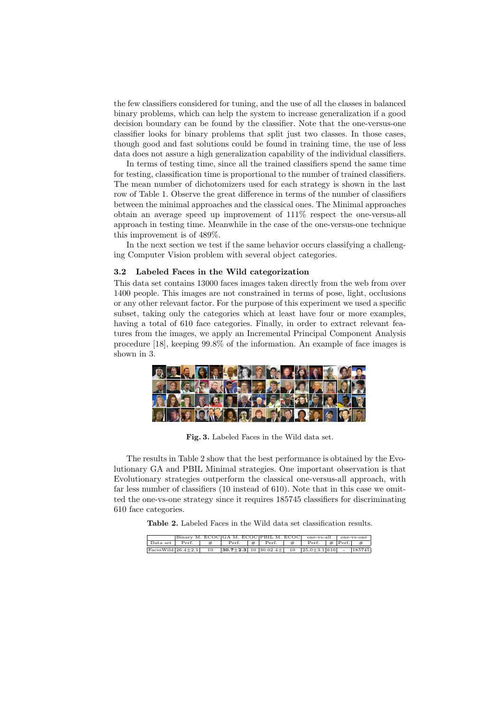the few classifiers considered for tuning, and the use of all the classes in balanced binary problems, which can help the system to increase generalization if a good decision boundary can be found by the classifier. Note that the one-versus-one classifier looks for binary problems that split just two classes. In those cases, though good and fast solutions could be found in training time, the use of less data does not assure a high generalization capability of the individual classifiers.

In terms of testing time, since all the trained classifiers spend the same time for testing, classification time is proportional to the number of trained classifiers. The mean number of dichotomizers used for each strategy is shown in the last row of Table 1. Observe the great difference in terms of the number of classifiers between the minimal approaches and the classical ones. The Minimal approaches obtain an average speed up improvement of 111% respect the one-versus-all approach in testing time. Meanwhile in the case of the one-versus-one technique this improvement is of 489%.

In the next section we test if the same behavior occurs classifying a challenging Computer Vision problem with several object categories.

### **3.2 Labeled Faces in the Wild categorization**

This data set contains 13000 faces images taken directly from the web from over 1400 people. This images are not constrained in terms of pose, light, occlusions or any other relevant factor. For the purpose of this experiment we used a specific subset, taking only the categories which at least have four or more examples, having a total of 610 face categories. Finally, in order to extract relevant features from the images, we apply an Incremental Principal Component Analysis procedure [18], keeping 99.8% of the information. An example of face images is shown in 3.



**Fig. 3.** Labeled Faces in the Wild data set.

The results in Table 2 show that the best performance is obtained by the Evolutionary GA and PBIL Minimal strategies. One important observation is that Evolutionary strategies outperform the classical one-versus-all approach, with far less number of classifiers (10 instead of 610). Note that in this case we omitted the one-vs-one strategy since it requires 185745 classifiers for discriminating 610 face categories.

**Table 2.** Labeled Faces in the Wild data set classification results.

|                            |       | Binary M. ECOCIGA M. ECOCIPBIL M. ECOCI one-ys-all        |            |   |         |                   | one-ys-one |
|----------------------------|-------|-----------------------------------------------------------|------------|---|---------|-------------------|------------|
| Data set                   | Perf. | Perf.                                                     | $\#$ Perf. | # | . Perf. | $\#$  Perf.  $\#$ |            |
| $Faces$ Wild $26.4+2.1$ 10 |       | $ 30.7 \pm 2.3  10  30.02.4 \pm   10  25.0 \pm 3.1  610 $ |            |   |         |                   | 185745     |